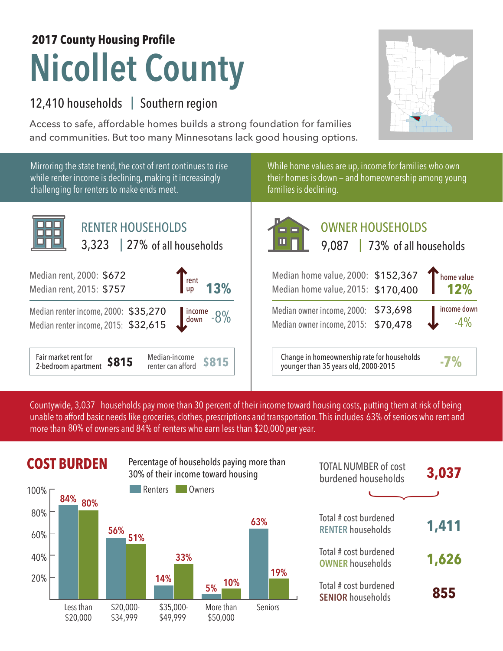## **Nicollet County 2017 County Housing Profile**

## 12,410 households | Southern region

Access to safe, affordable homes builds a strong foundation for families and communities. But too many Minnesotans lack good housing options.

Mirroring the state trend, the cost of rent continues to rise while renter income is declining, making it increasingly challenging for renters to make ends meet.



While home values are up, income for families who own their homes is down — and homeownership among young families is declining.

| <b>RENTER HOUSEHOLDS</b><br>$3,323$   27% of all households                    | <b>OWNER HOUSEHOLDS</b><br>$\blacksquare$<br>9,087   73% of all households                         |  |  |  |
|--------------------------------------------------------------------------------|----------------------------------------------------------------------------------------------------|--|--|--|
| 000: \$672<br>13%<br>rent<br>up<br>015: \$757                                  | Median home value, 2000: \$152,367<br>home value<br>12%<br>Median home value, 2015: \$170,400      |  |  |  |
| icome, 2000: \$35,270<br>$\frac{1}{2}$ income $-8\%$<br>icome, 2015: \$32,615  | income down<br>Median owner income, 2000: \$73,698<br>$-4%$<br>Median owner income, 2015: \$70,478 |  |  |  |
| t for<br>Median-income<br>\$815<br><b>\$815</b><br>rtment<br>renter can afford | Change in homeownership rate for households<br>$-7%$<br>younger than 35 years old, 2000-2015       |  |  |  |

Countywide, 3,037 households pay more than 30 percent of their income toward housing costs, putting them at risk of being unable to afford basic needs like groceries, clothes, prescriptions and transportation. This includes 63% of seniors who rent and more than 80% of owners and 84% of renters who earn less than \$20,000 per year.



|            | <b>COST BURDEN</b> |                     | Percentage of households paying more than<br>30% of their income toward housing |                        |         | <b>TOTAL NUMBER of cost</b><br>burdened households | 3,037 |
|------------|--------------------|---------------------|---------------------------------------------------------------------------------|------------------------|---------|----------------------------------------------------|-------|
| 100% г     | 84%<br>80%         |                     | Renters                                                                         | Owners                 |         |                                                    |       |
| 80%<br>60% |                    | 56%<br>51%          |                                                                                 |                        | 63%     | Total # cost burdened<br><b>RENTER households</b>  | 1,411 |
| 40%        |                    |                     | 33%                                                                             |                        | 19%     | Total # cost burdened<br><b>OWNER households</b>   | 1,626 |
| 20%        | acc than           | C <sub>20</sub> UUU | 14%<br>435 UUU                                                                  | 10%<br>5%<br>More than | Caniore | Total # cost burdened<br><b>SENIOR households</b>  | 855   |